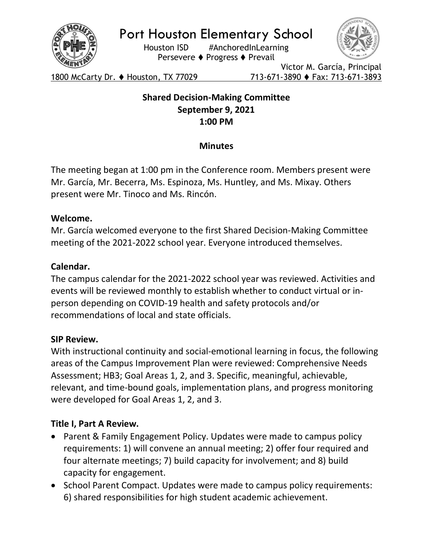

Port Houston Elementary School

Houston ISD #AnchoredInLearning Persevere ♦ Progress ♦ Prevail



1800 McCarty Dr. ♦ Houston, TX 77029 713-671-3890 ♦ Fax: 713-671-3893

Victor M. García, Principal

# Shared Decision-Making Committee September 9, 2021 1:00 PM

# **Minutes**

The meeting began at 1:00 pm in the Conference room. Members present were Mr. García, Mr. Becerra, Ms. Espinoza, Ms. Huntley, and Ms. Mixay. Others present were Mr. Tinoco and Ms. Rincón.

## Welcome.

Mr. García welcomed everyone to the first Shared Decision-Making Committee meeting of the 2021-2022 school year. Everyone introduced themselves.

## Calendar.

The campus calendar for the 2021-2022 school year was reviewed. Activities and events will be reviewed monthly to establish whether to conduct virtual or inperson depending on COVID-19 health and safety protocols and/or recommendations of local and state officials.

## SIP Review.

With instructional continuity and social-emotional learning in focus, the following areas of the Campus Improvement Plan were reviewed: Comprehensive Needs Assessment; HB3; Goal Areas 1, 2, and 3. Specific, meaningful, achievable, relevant, and time-bound goals, implementation plans, and progress monitoring were developed for Goal Areas 1, 2, and 3.

## Title I, Part A Review.

- Parent & Family Engagement Policy. Updates were made to campus policy requirements: 1) will convene an annual meeting; 2) offer four required and four alternate meetings; 7) build capacity for involvement; and 8) build capacity for engagement.
- School Parent Compact. Updates were made to campus policy requirements: 6) shared responsibilities for high student academic achievement.